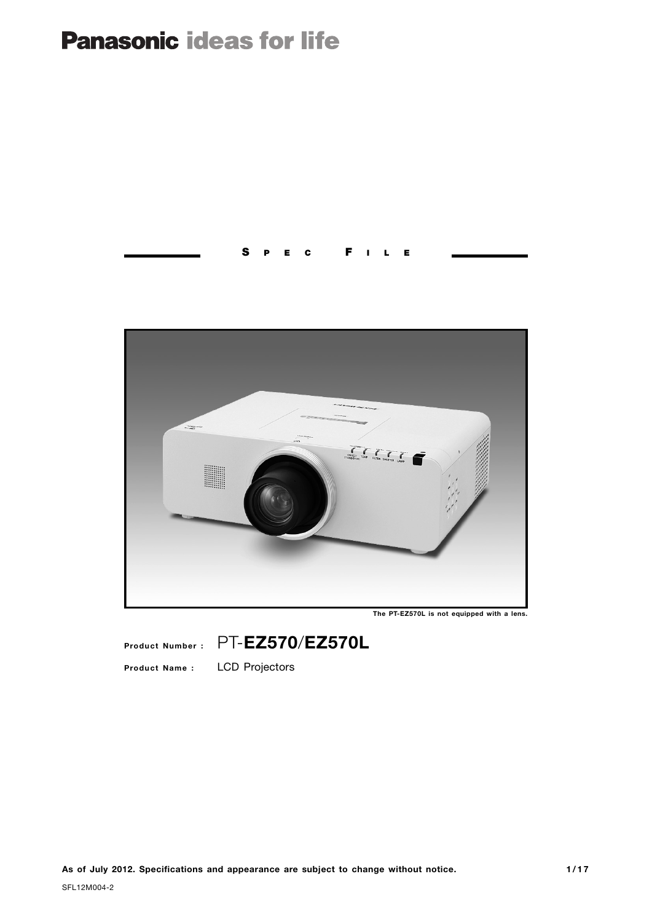## **Panasonic ideas for life**

## **S P E C F I L E**



**The PT-EZ570L is not equipped with a lens.**

**Product Number :** PT-**EZ570**/**EZ570L**

**Product Name :** LCD Projectors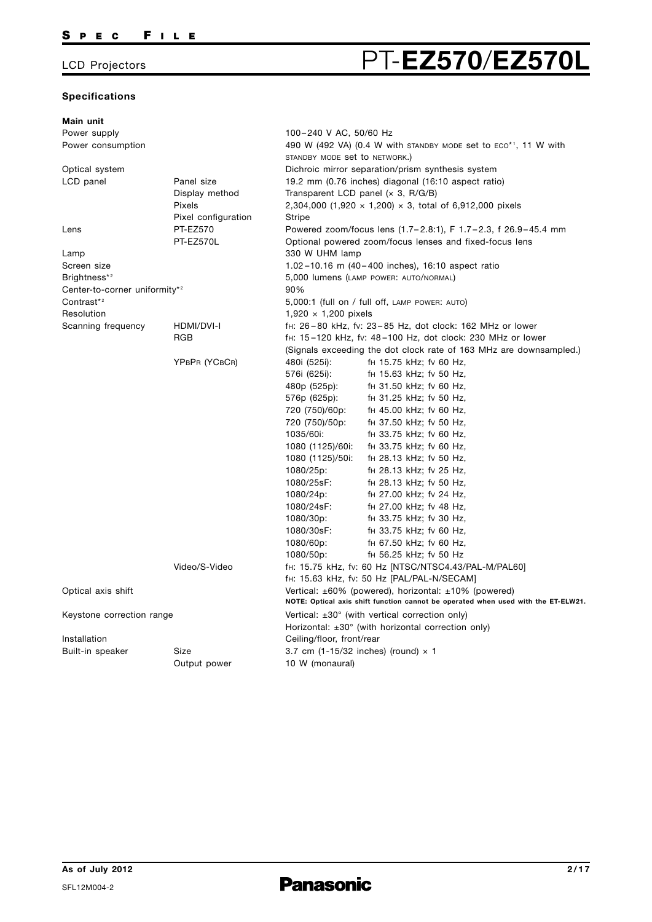### **Specifications**

# LCD Projectors **PT-EZ570/EZ570L**

| Main unit                                 |                     |                                                                                       |
|-------------------------------------------|---------------------|---------------------------------------------------------------------------------------|
| Power supply                              |                     | 100-240 V AC, 50/60 Hz                                                                |
| Power consumption                         |                     | 490 W (492 VA) (0.4 W with standby mode set to $ECO^{\star}$ <sup>1</sup> , 11 W with |
|                                           |                     | STANDBY MODE set to NETWORK.)                                                         |
| Optical system                            |                     | Dichroic mirror separation/prism synthesis system                                     |
| LCD panel                                 | Panel size          | 19.2 mm (0.76 inches) diagonal (16:10 aspect ratio)                                   |
|                                           | Display method      | Transparent LCD panel $(x 3, R/G/B)$                                                  |
|                                           | Pixels              | 2,304,000 (1,920 $\times$ 1,200) $\times$ 3, total of 6,912,000 pixels                |
|                                           | Pixel configuration | Stripe                                                                                |
| Lens                                      | <b>PT-EZ570</b>     | Powered zoom/focus lens (1.7-2.8:1), F 1.7-2.3, f 26.9-45.4 mm                        |
|                                           | PT-EZ570L           | Optional powered zoom/focus lenses and fixed-focus lens                               |
| Lamp                                      |                     | 330 W UHM lamp                                                                        |
| Screen size                               |                     | 1.02-10.16 m (40-400 inches), 16:10 aspect ratio                                      |
| Brightness* <sup>2</sup>                  |                     | 5,000 lumens (LAMP POWER: AUTO/NORMAL)                                                |
| Center-to-corner uniformity* <sup>2</sup> |                     | 90%                                                                                   |
| Contrast <sup>*2</sup>                    |                     | 5,000:1 (full on / full off, LAMP POWER: AUTO)                                        |
| Resolution                                |                     | $1,920 \times 1,200$ pixels                                                           |
| Scanning frequency                        | HDMI/DVI-I          | fH: 26-80 kHz, fv: 23-85 Hz, dot clock: 162 MHz or lower                              |
|                                           | <b>RGB</b>          | f <sub>H</sub> : 15-120 kHz, fv: 48-100 Hz, dot clock: 230 MHz or lower               |
|                                           |                     | (Signals exceeding the dot clock rate of 163 MHz are downsampled.)                    |
|                                           | YPBPR (YCBCR)       | 480i (525i):<br>f <sub>H</sub> 15.75 kHz; fv 60 Hz,                                   |
|                                           |                     | 576i (625i):<br>f <sub>H</sub> 15.63 kHz; fv 50 Hz,                                   |
|                                           |                     | 480p (525p):<br>$H$ 31.50 kHz; fv 60 Hz,                                              |
|                                           |                     | f <sub>H</sub> 31.25 kHz; fv 50 Hz,                                                   |
|                                           |                     | 576p (625p):<br>720 (750)/60p:<br>f <sub>H</sub> 45.00 kHz; fv 60 Hz,                 |
|                                           |                     | f <sub>H</sub> 37.50 kHz; fv 50 Hz,                                                   |
|                                           |                     | 720 (750)/50p:                                                                        |
|                                           |                     | 1035/60i:<br>f <sub>H</sub> 33.75 kHz; fv 60 Hz,                                      |
|                                           |                     | fH 33.75 kHz; fv 60 Hz,<br>1080 (1125)/60i:                                           |
|                                           |                     | 1080 (1125)/50i:<br>f <sub>H</sub> 28.13 kHz; fv 50 Hz,                               |
|                                           |                     | 1080/25p:<br>f <sub>H</sub> 28.13 kHz; fv 25 Hz,                                      |
|                                           |                     | 1080/25sF:<br>f <sub>H</sub> 28.13 kHz; fv 50 Hz,                                     |
|                                           |                     | 1080/24p:<br>f <sub>H</sub> 27.00 kHz; fv 24 Hz,                                      |
|                                           |                     | 1080/24sF:<br>fH 27.00 kHz; fv 48 Hz,                                                 |
|                                           |                     | 1080/30p:<br>f <sub>H</sub> 33.75 kHz; fv 30 Hz,                                      |
|                                           |                     | 1080/30sF:<br>f <sub>H</sub> 33.75 kHz; fv 60 Hz,                                     |
|                                           |                     | 1080/60p:<br>f <sub>H</sub> 67.50 kHz; fv 60 Hz,                                      |
|                                           |                     | 1080/50p:<br>fH 56.25 kHz; fv 50 Hz                                                   |
|                                           | Video/S-Video       | fH: 15.75 kHz, fv: 60 Hz [NTSC/NTSC4.43/PAL-M/PAL60]                                  |
|                                           |                     | fH: 15.63 kHz, fv: 50 Hz [PAL/PAL-N/SECAM]                                            |
| Optical axis shift                        |                     | Vertical: $\pm 60\%$ (powered), horizontal: $\pm 10\%$ (powered)                      |
|                                           |                     | NOTE: Optical axis shift function cannot be operated when used with the ET-ELW21.     |
| Keystone correction range                 |                     | Vertical: $\pm 30^\circ$ (with vertical correction only)                              |
|                                           |                     | Horizontal: $\pm 30^\circ$ (with horizontal correction only)                          |
| Installation                              |                     | Ceiling/floor, front/rear                                                             |
| Built-in speaker                          | Size                | 3.7 cm $(1-15/32$ inches) (round) $\times$ 1                                          |
|                                           | Output power        | 10 W (monaural)                                                                       |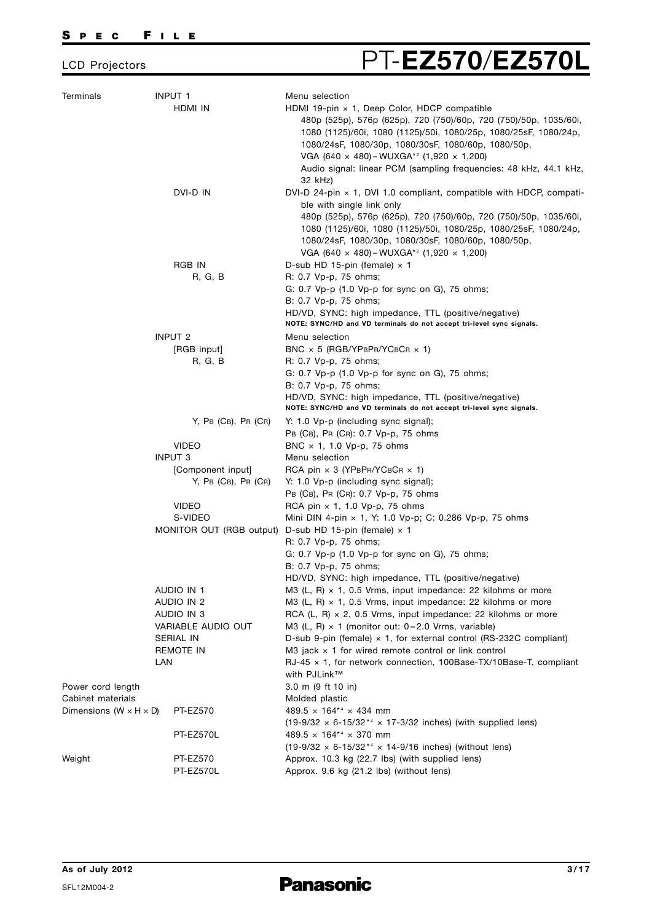# LCD Projectors PT-**EZ570**/**EZ570L**

| Terminals                            | <b>INPUT 1</b><br>HDMI IN                   | Menu selection<br>HDMI 19-pin $\times$ 1, Deep Color, HDCP compatible<br>480p (525p), 576p (625p), 720 (750)/60p, 720 (750)/50p, 1035/60i,                                                   |
|--------------------------------------|---------------------------------------------|----------------------------------------------------------------------------------------------------------------------------------------------------------------------------------------------|
|                                      |                                             | 1080 (1125)/60i, 1080 (1125)/50i, 1080/25p, 1080/25sF, 1080/24p,<br>1080/24sF, 1080/30p, 1080/30sF, 1080/60p, 1080/50p,                                                                      |
|                                      |                                             | VGA (640 × 480) - WUXGA* <sup>2</sup> (1,920 × 1,200)                                                                                                                                        |
|                                      |                                             | Audio signal: linear PCM (sampling frequencies: 48 kHz, 44.1 kHz,<br>32 kHz)                                                                                                                 |
|                                      | DVI-D IN                                    | DVI-D 24-pin $\times$ 1, DVI 1.0 compliant, compatible with HDCP, compati-<br>ble with single link only                                                                                      |
|                                      |                                             | 480p (525p), 576p (625p), 720 (750)/60p, 720 (750)/50p, 1035/60i,<br>1080 (1125)/60i, 1080 (1125)/50i, 1080/25p, 1080/25sF, 1080/24p,<br>1080/24sF, 1080/30p, 1080/30sF, 1080/60p, 1080/50p, |
|                                      |                                             | VGA (640 $\times$ 480) – WUXGA <sup>*2</sup> (1,920 $\times$ 1,200)                                                                                                                          |
|                                      | RGB IN                                      | D-sub HD 15-pin (female) $\times$ 1                                                                                                                                                          |
|                                      | R, G, B                                     | R: 0.7 Vp-p, 75 ohms;                                                                                                                                                                        |
|                                      |                                             | G: 0.7 Vp-p (1.0 Vp-p for sync on G), 75 ohms;                                                                                                                                               |
|                                      |                                             | B: 0.7 Vp-p, 75 ohms;<br>HD/VD, SYNC: high impedance, TTL (positive/negative)                                                                                                                |
|                                      |                                             | NOTE: SYNC/HD and VD terminals do not accept tri-level sync signals.                                                                                                                         |
|                                      | <b>INPUT 2</b>                              | Menu selection                                                                                                                                                                               |
|                                      | [RGB input]                                 | BNC $\times$ 5 (RGB/YPBPR/YCBCR $\times$ 1)                                                                                                                                                  |
|                                      | R, G, B                                     | R: 0.7 Vp-p, 75 ohms;                                                                                                                                                                        |
|                                      |                                             | G: 0.7 Vp-p (1.0 Vp-p for sync on G), 75 ohms;                                                                                                                                               |
|                                      |                                             | B: 0.7 Vp-p, 75 ohms;                                                                                                                                                                        |
|                                      |                                             | HD/VD, SYNC: high impedance, TTL (positive/negative)<br>NOTE: SYNC/HD and VD terminals do not accept tri-level sync signals.                                                                 |
|                                      | $Y$ , PB (CB), PR (CR)                      | Y: 1.0 Vp-p (including sync signal);                                                                                                                                                         |
|                                      |                                             | PB (CB), PR (CR): 0.7 Vp-p, 75 ohms                                                                                                                                                          |
|                                      | <b>VIDEO</b>                                | BNC $\times$ 1, 1.0 Vp-p, 75 ohms                                                                                                                                                            |
|                                      | <b>INPUT 3</b>                              | Menu selection                                                                                                                                                                               |
|                                      | [Component input]<br>$Y$ , PB (CB), PR (CR) | RCA pin $\times$ 3 (YPBPR/YCBCR $\times$ 1)<br>Y: 1.0 Vp-p (including sync signal);                                                                                                          |
|                                      |                                             | PB (CB), PR (CR): 0.7 Vp-p, 75 ohms                                                                                                                                                          |
|                                      | <b>VIDEO</b>                                | RCA pin $\times$ 1, 1.0 Vp-p, 75 ohms                                                                                                                                                        |
|                                      | S-VIDEO                                     | Mini DIN 4-pin $\times$ 1, Y: 1.0 Vp-p; C: 0.286 Vp-p, 75 ohms                                                                                                                               |
|                                      |                                             | MONITOR OUT (RGB output) D-sub HD 15-pin (female) x 1                                                                                                                                        |
|                                      |                                             | R: 0.7 Vp-p, 75 ohms;                                                                                                                                                                        |
|                                      |                                             | G: 0.7 Vp-p (1.0 Vp-p for sync on G), 75 ohms;                                                                                                                                               |
|                                      |                                             | B: 0.7 Vp-p, 75 ohms;                                                                                                                                                                        |
|                                      |                                             | HD/VD, SYNC: high impedance, TTL (positive/negative)                                                                                                                                         |
|                                      | AUDIO IN 1                                  | M3 (L, R) $\times$ 1, 0.5 Vrms, input impedance: 22 kilohms or more                                                                                                                          |
|                                      | AUDIO IN 2                                  | M3 (L, R) $\times$ 1, 0.5 Vrms, input impedance: 22 kilohms or more<br>RCA (L, R) $\times$ 2, 0.5 Vrms, input impedance: 22 kilohms or more                                                  |
|                                      | AUDIO IN 3<br>VARIABLE AUDIO OUT            | M3 (L, R) $\times$ 1 (monitor out: 0-2.0 Vrms, variable)                                                                                                                                     |
|                                      | SERIAL IN                                   | D-sub 9-pin (female) $\times$ 1, for external control (RS-232C compliant)                                                                                                                    |
|                                      | REMOTE IN                                   | M3 jack $\times$ 1 for wired remote control or link control                                                                                                                                  |
|                                      | LAN                                         | $RJ-45 \times 1$ , for network connection, 100Base-TX/10Base-T, compliant                                                                                                                    |
|                                      |                                             | with PJLink™                                                                                                                                                                                 |
| Power cord length                    |                                             | 3.0 m (9 ft 10 in)                                                                                                                                                                           |
| Cabinet materials                    |                                             | Molded plastic                                                                                                                                                                               |
| Dimensions ( $W \times H \times D$ ) | <b>PT-EZ570</b>                             | $489.5 \times 164^{*4} \times 434$ mm                                                                                                                                                        |
|                                      |                                             | $(19-9/32 \times 6-15/32^{*4} \times 17-3/32)$ inches) (with supplied lens)                                                                                                                  |
|                                      | PT-EZ570L                                   | $489.5 \times 164^{*4} \times 370$ mm                                                                                                                                                        |
| Weight                               | PT-EZ570                                    | $(19-9/32 \times 6-15/32^{*4} \times 14-9/16$ inches) (without lens)<br>Approx. 10.3 kg (22.7 lbs) (with supplied lens)                                                                      |
|                                      | PT-EZ570L                                   | Approx. 9.6 kg (21.2 lbs) (without lens)                                                                                                                                                     |
|                                      |                                             |                                                                                                                                                                                              |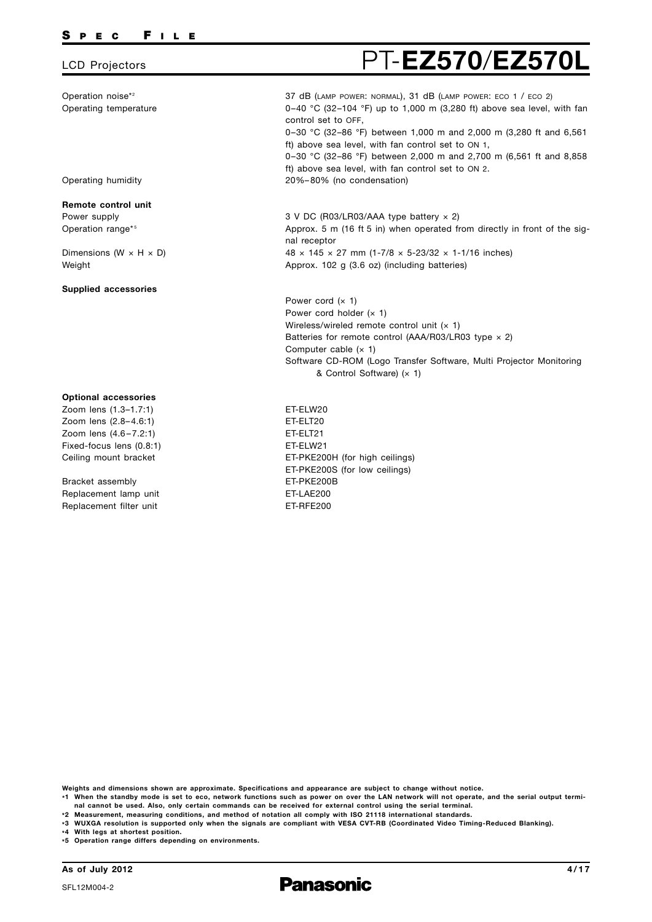Operation noise\*2 Operating temperature

Operating humidity

**Remote control unit** Power supply Operation range\*<sup>5</sup>

Dimensions (W  $\times$  H  $\times$  D)

**Supplied accessories**

**Optional accessories** Zoom lens (1.3–1.7:1) Zoom lens (2.8– 4.6:1) Zoom lens (4.6 – 7.2:1) Fixed-focus lens (0.8:1) Ceiling mount bracket

Bracket assembly Replacement lamp unit Replacement filter unit

Weight

### LCD Projectors **PT-EZ570/EZ570** 37 dB (LAMP POWER: NORMAL), 31 dB (LAMP POWER: ECO 1 / ECO 2) 0–40 °C (32–104 °F) up to 1,000 m (3,280 ft) above sea level, with fan control set to OFF,

0–30 °C (32–86 °F) between 1,000 m and 2,000 m (3,280 ft and 6,561 ft) above sea level, with fan control set to ON 1, 0–30 °C (32–86 °F) between 2,000 m and 2,700 m (6,561 ft and 8,858

ft) above sea level, with fan control set to ON 2. 20%– 80% (no condensation)

3 V DC (R03/LR03/AAA type battery × 2) Approx. 5 m (16 ft 5 in) when operated from directly in front of the signal receptor 48  $\times$  145  $\times$  27 mm (1-7/8  $\times$  5-23/32  $\times$  1-1/16 inches) Approx. 102 g (3.6 oz) (including batteries)

Power cord  $(x 1)$ Power cord holder  $(x 1)$ Wireless/wireled remote control unit  $(x 1)$ Batteries for remote control (AAA/R03/LR03 type  $\times$  2) Computer cable  $(x 1)$ Software CD-ROM (Logo Transfer Software, Multi Projector Monitoring & Control Software) (× 1)

ET-ELW20 ET-ELT20 ET-ELT21 ET-ELW21 ET-PKE200H (for high ceilings) ET-PKE200S (for low ceilings) ET-PKE200B ET-LAE200 ET-RFE200

**Weights and dimensions shown are approximate. Specifications and appearance are subject to change without notice.**

**\*1 When the standby mode is set to eco, network functions such as power on over the LAN network will not operate, and the serial output terminal cannot be used. Also, only certain commands can be received for external control using the serial terminal.**

**\*2 Measurement, measuring conditions, and method of notation all comply with ISO 21118 international standards.**

**\*3 WUXGA resolution is supported only when the signals are compliant with VESA CVT-RB (Coordinated Video Timing-Reduced Blanking).**

**\*4 With legs at shortest position.**

**\*5 Operation range differs depending on environments.**

**As of July 2012**

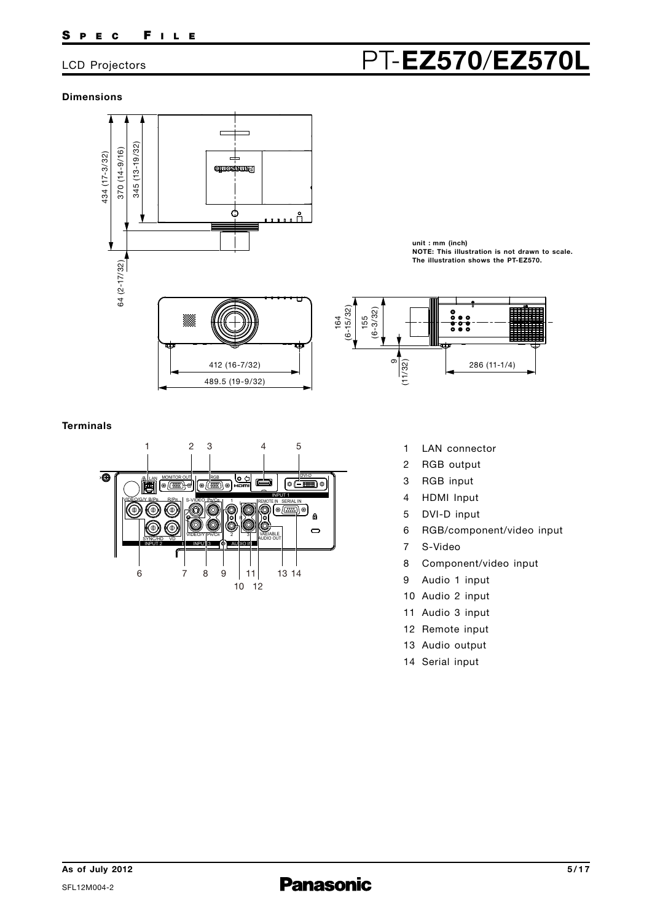### **Dimensions**



#### **Terminals**



**unit : mm (inch) NOTE: This illustration is not drawn to scale. The illustration shows the PT-EZ570.**



- 
- 2 RGB output
- 3 RGB input
- 4 HDMI Input
- 5 DVI-D input
- 6 RGB/component/video input
- 7 S-Video
- 8 Component/video input
- 9 Audio 1 input
- 10 Audio 2 input
- 11 Audio 3 input
- 12 Remote input
- 13 Audio output
- 14 Serial input

# LCD Projectors PT-**EZ570**/**EZ570L**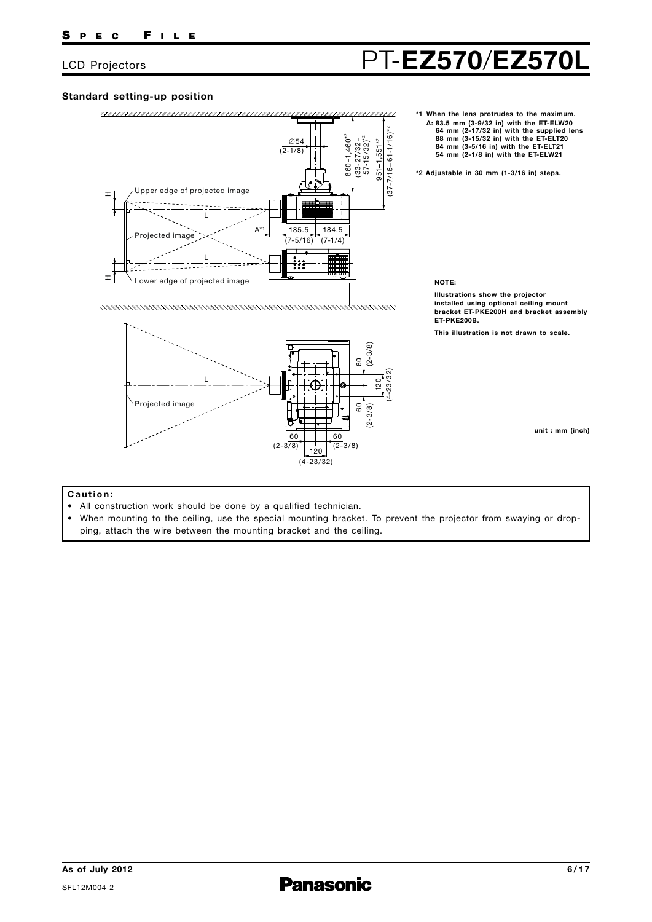### **Standard setting-up position**



**\*1 When the lens protrudes to the maximum. A: 83.5 mm (3-9/32 in) with the ET-ELW20 64 mm (2-17/32 in) with the supplied lens 88 mm (3-15/32 in) with the ET-ELT20 84 mm (3-5/16 in) with the ET-ELT21 54 mm (2-1/8 in) with the ET-ELW21**

**\*2 Adjustable in 30 mm (1-3/16 in) steps.**

#### **NOTE:**

**Illustrations show the projector i nstalled using optional ceiling mount bracket ET-PKE200H and bracket assembly ET-PKE200B.**

**This illustration is not drawn to scale.**

**unit : mm (inch)**

#### **C a u t i o n :**

- All construction work should be done by a qualified technician.
- When mounting to the ceiling, use the special mounting bracket. To prevent the projector from swaying or dropping, attach the wire between the mounting bracket and the ceiling.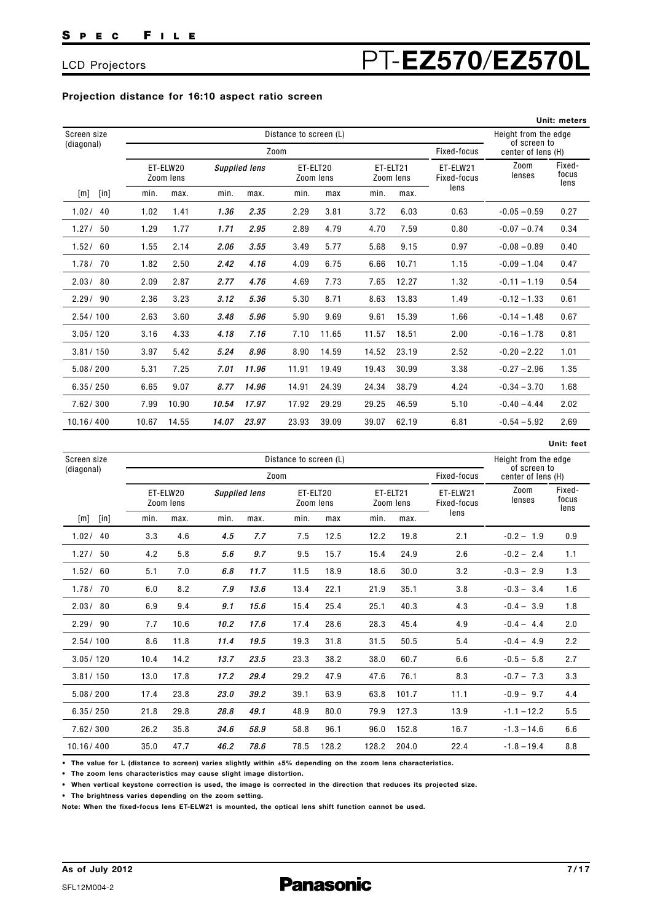## LCD Projectors **PT-EZ570/EZ570L**

#### **Projection distance for 16:10 aspect ratio screen**

|                |       |                        |       |                      |       |                       |       |                       |                         |                                    | Unit: meters            |
|----------------|-------|------------------------|-------|----------------------|-------|-----------------------|-------|-----------------------|-------------------------|------------------------------------|-------------------------|
| Screen size    |       | Distance to screen (L) |       |                      |       |                       |       |                       |                         | Height from the edge               |                         |
| (diagonal)     |       |                        |       |                      | Zoom  |                       |       |                       | Fixed-focus             | of screen to<br>center of lens (H) |                         |
|                |       | ET-ELW20<br>Zoom lens  |       | <b>Supplied lens</b> |       | ET-ELT20<br>Zoom lens |       | ET-ELT21<br>Zoom lens | ET-ELW21<br>Fixed-focus | Zoom<br>lenses                     | Fixed-<br>focus<br>lens |
| $[$ in]<br>[m] | min.  | max.                   | min.  | max.                 | min.  | max                   | min.  | max.                  | lens                    |                                    |                         |
| 1.02 / 40      | 1.02  | 1.41                   | 1.36  | 2.35                 | 2.29  | 3.81                  | 3.72  | 6.03                  | 0.63                    | $-0.05 - 0.59$                     | 0.27                    |
| 1.27/<br>50    | 1.29  | 1.77                   | 1.71  | 2.95                 | 2.89  | 4.79                  | 4.70  | 7.59                  | 0.80                    | $-0.07 - 0.74$                     | 0.34                    |
| 1.52/<br>60    | 1.55  | 2.14                   | 2.06  | 3.55                 | 3.49  | 5.77                  | 5.68  | 9.15                  | 0.97                    | $-0.08 - 0.89$                     | 0.40                    |
| 1.78/70        | 1.82  | 2.50                   | 2.42  | 4.16                 | 4.09  | 6.75                  | 6.66  | 10.71                 | 1.15                    | $-0.09 - 1.04$                     | 0.47                    |
| 2.03/80        | 2.09  | 2.87                   | 2.77  | 4.76                 | 4.69  | 7.73                  | 7.65  | 12.27                 | 1.32                    | $-0.11 - 1.19$                     | 0.54                    |
| 2.29/90        | 2.36  | 3.23                   | 3.12  | 5.36                 | 5.30  | 8.71                  | 8.63  | 13.83                 | 1.49                    | $-0.12 - 1.33$                     | 0.61                    |
| 2.54/100       | 2.63  | 3.60                   | 3.48  | 5.96                 | 5.90  | 9.69                  | 9.61  | 15.39                 | 1.66                    | $-0.14 - 1.48$                     | 0.67                    |
| 3.05/120       | 3.16  | 4.33                   | 4.18  | 7.16                 | 7.10  | 11.65                 | 11.57 | 18.51                 | 2.00                    | $-0.16 - 1.78$                     | 0.81                    |
| 3.81 / 150     | 3.97  | 5.42                   | 5.24  | 8.96                 | 8.90  | 14.59                 | 14.52 | 23.19                 | 2.52                    | $-0.20 - 2.22$                     | 1.01                    |
| 5.08 / 200     | 5.31  | 7.25                   | 7.01  | 11.96                | 11.91 | 19.49                 | 19.43 | 30.99                 | 3.38                    | $-0.27 - 2.96$                     | 1.35                    |
| 6.35/250       | 6.65  | 9.07                   | 8.77  | 14.96                | 14.91 | 24.39                 | 24.34 | 38.79                 | 4.24                    | $-0.34 - 3.70$                     | 1.68                    |
| 7.62/300       | 7.99  | 10.90                  | 10.54 | 17.97                | 17.92 | 29.29                 | 29.25 | 46.59                 | 5.10                    | $-0.40 - 4.44$                     | 2.02                    |
| 10.16/400      | 10.67 | 14.55                  | 14.07 | 23.97                | 23.93 | 39.09                 | 39.07 | 62.19                 | 6.81                    | $-0.54 - 5.92$                     | 2.69                    |

|                |      |                        |                      |      |      |                       |       |                       |                         |                                    | Unit: feet              |
|----------------|------|------------------------|----------------------|------|------|-----------------------|-------|-----------------------|-------------------------|------------------------------------|-------------------------|
| Screen size    |      | Distance to screen (L) |                      |      |      |                       |       |                       |                         |                                    | Height from the edge    |
| (diagonal)     |      |                        |                      | Zoom |      |                       |       |                       | Fixed-focus             | of screen to<br>center of lens (H) |                         |
|                |      | ET-ELW20<br>Zoom lens  | <b>Supplied lens</b> |      |      | ET-ELT20<br>Zoom lens |       | ET-ELT21<br>Zoom lens | ET-ELW21<br>Fixed-focus | Zoom<br>lenses                     | Fixed-<br>focus<br>lens |
| $[$ in]<br>[m] | min. | max.                   | min.                 | max. | min. | max                   | min.  | max.                  | lens                    |                                    |                         |
| 1.02/<br>40    | 3.3  | 4.6                    | 4.5                  | 7.7  | 7.5  | 12.5                  | 12.2  | 19.8                  | 2.1                     | $-0.2 - 1.9$                       | 0.9                     |
| 1.27/<br>50    | 4.2  | 5.8                    | 5.6                  | 9.7  | 9.5  | 15.7                  | 15.4  | 24.9                  | 2.6                     | $-0.2 - 2.4$                       | 1.1                     |
| 1.52/60        | 5.1  | 7.0                    | 6.8                  | 11.7 | 11.5 | 18.9                  | 18.6  | 30.0                  | 3.2                     | $-0.3 - 2.9$                       | 1.3                     |
| 1.78/70        | 6.0  | 8.2                    | 7.9                  | 13.6 | 13.4 | 22.1                  | 21.9  | 35.1                  | 3.8                     | $-0.3 - 3.4$                       | 1.6                     |
| 2.03/80        | 6.9  | 9.4                    | 9.1                  | 15.6 | 15.4 | 25.4                  | 25.1  | 40.3                  | 4.3                     | $-0.4 - 3.9$                       | 1.8                     |
| 2.29/90        | 7.7  | 10.6                   | 10.2                 | 17.6 | 17.4 | 28.6                  | 28.3  | 45.4                  | 4.9                     | $-0.4 - 4.4$                       | 2.0                     |
| 2.54/100       | 8.6  | 11.8                   | 11.4                 | 19.5 | 19.3 | 31.8                  | 31.5  | 50.5                  | 5.4                     | $-0.4 - 4.9$                       | 2.2                     |
| 3.05/120       | 10.4 | 14.2                   | 13.7                 | 23.5 | 23.3 | 38.2                  | 38.0  | 60.7                  | 6.6                     | $-0.5 - 5.8$                       | 2.7                     |
| 3.81 / 150     | 13.0 | 17.8                   | 17.2                 | 29.4 | 29.2 | 47.9                  | 47.6  | 76.1                  | 8.3                     | $-0.7 - 7.3$                       | 3.3                     |
| 5.08 / 200     | 17.4 | 23.8                   | 23.0                 | 39.2 | 39.1 | 63.9                  | 63.8  | 101.7                 | 11.1                    | $-0.9 - 9.7$                       | 4.4                     |
| 6.35/250       | 21.8 | 29.8                   | 28.8                 | 49.1 | 48.9 | 80.0                  | 79.9  | 127.3                 | 13.9                    | $-1.1 - 12.2$                      | 5.5                     |
| 7.62/300       | 26.2 | 35.8                   | 34.6                 | 58.9 | 58.8 | 96.1                  | 96.0  | 152.8                 | 16.7                    | $-1.3 - 14.6$                      | 6.6                     |
| 10.16/400      | 35.0 | 47.7                   | 46.2                 | 78.6 | 78.5 | 128.2                 | 128.2 | 204.0                 | 22.4                    | $-1.8 - 19.4$                      | 8.8                     |

**• The value for L (distance to screen) varies slightly within ±5% depending on the zoom lens characteristics.** 

**• The zoom lens characteristics may cause slight image distortion.**

**• When vertical keystone correction is used, the image is corrected in the direction that reduces its projected size.**

**• The brightness varies depending on the zoom setting.**

**Note: When the fixed-focus lens ET-ELW21 is mounted, the optical lens shift function cannot be used.**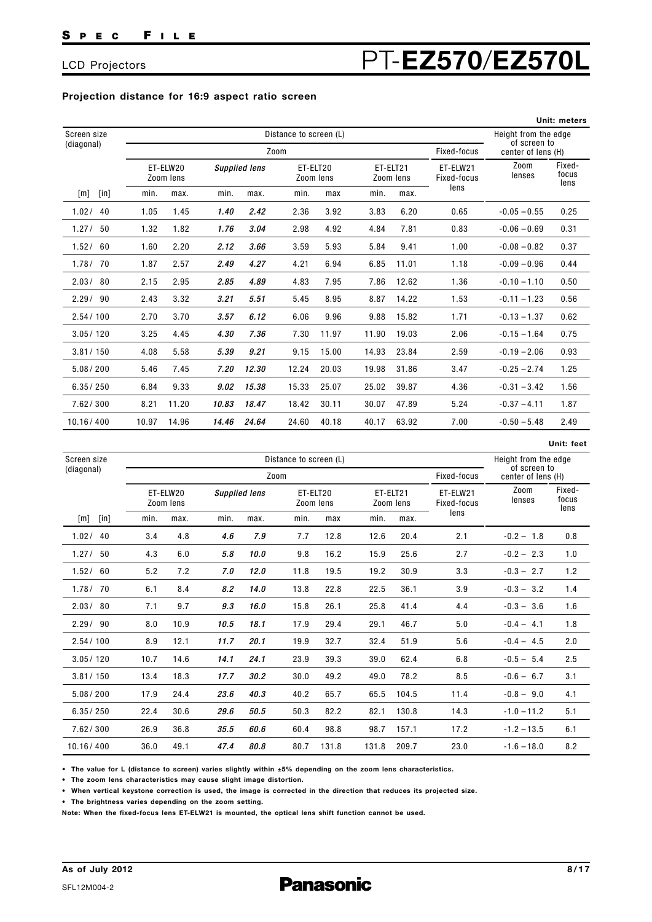## LCD Projectors PT-**EZ570**/**EZ570L**

### **Projection distance for 16:9 aspect ratio screen**

|                |       |                        |       |                      |       |                       |       |                       |                         |                                      | Unit: meters            |
|----------------|-------|------------------------|-------|----------------------|-------|-----------------------|-------|-----------------------|-------------------------|--------------------------------------|-------------------------|
| Screen size    |       | Distance to screen (L) |       |                      |       |                       |       |                       |                         | Height from the edge<br>of screen to |                         |
| (diagonal)     |       |                        |       |                      | Zoom  |                       |       |                       | Fixed-focus             | center of lens (H)                   |                         |
|                |       | ET-ELW20<br>Zoom lens  |       | <b>Supplied lens</b> |       | ET-ELT20<br>Zoom lens |       | ET-ELT21<br>Zoom lens | ET-ELW21<br>Fixed-focus | Zoom<br>lenses                       | Fixed-<br>focus<br>lens |
| $[$ in]<br>[m] | min.  | max.                   | min.  | max.                 | min.  | max                   | min.  | max.                  | lens                    |                                      |                         |
| 1.02/<br>40    | 1.05  | 1.45                   | 1.40  | 2.42                 | 2.36  | 3.92                  | 3.83  | 6.20                  | 0.65                    | $-0.05 - 0.55$                       | 0.25                    |
| 1.27/<br>50    | 1.32  | 1.82                   | 1.76  | 3.04                 | 2.98  | 4.92                  | 4.84  | 7.81                  | 0.83                    | $-0.06 - 0.69$                       | 0.31                    |
| 1.52/<br>60    | 1.60  | 2.20                   | 2.12  | 3.66                 | 3.59  | 5.93                  | 5.84  | 9.41                  | 1.00                    | $-0.08 - 0.82$                       | 0.37                    |
| 1.78/70        | 1.87  | 2.57                   | 2.49  | 4.27                 | 4.21  | 6.94                  | 6.85  | 11.01                 | 1.18                    | $-0.09 - 0.96$                       | 0.44                    |
| 2.03/80        | 2.15  | 2.95                   | 2.85  | 4.89                 | 4.83  | 7.95                  | 7.86  | 12.62                 | 1.36                    | $-0.10 - 1.10$                       | 0.50                    |
| 2.29/90        | 2.43  | 3.32                   | 3.21  | 5.51                 | 5.45  | 8.95                  | 8.87  | 14.22                 | 1.53                    | $-0.11 - 1.23$                       | 0.56                    |
| 2.54/100       | 2.70  | 3.70                   | 3.57  | 6.12                 | 6.06  | 9.96                  | 9.88  | 15.82                 | 1.71                    | $-0.13 - 1.37$                       | 0.62                    |
| 3.05/120       | 3.25  | 4.45                   | 4.30  | 7.36                 | 7.30  | 11.97                 | 11.90 | 19.03                 | 2.06                    | $-0.15 - 1.64$                       | 0.75                    |
| 3.81 / 150     | 4.08  | 5.58                   | 5.39  | 9.21                 | 9.15  | 15.00                 | 14.93 | 23.84                 | 2.59                    | $-0.19 - 2.06$                       | 0.93                    |
| 5.08 / 200     | 5.46  | 7.45                   | 7.20  | 12.30                | 12.24 | 20.03                 | 19.98 | 31.86                 | 3.47                    | $-0.25 - 2.74$                       | 1.25                    |
| 6.35/250       | 6.84  | 9.33                   | 9.02  | 15.38                | 15.33 | 25.07                 | 25.02 | 39.87                 | 4.36                    | $-0.31 - 3.42$                       | 1.56                    |
| 7.62/300       | 8.21  | 11.20                  | 10.83 | 18.47                | 18.42 | 30.11                 | 30.07 | 47.89                 | 5.24                    | $-0.37 - 4.11$                       | 1.87                    |
| 10.16/400      | 10.97 | 14.96                  | 14.46 | 24.64                | 24.60 | 40.18                 | 40.17 | 63.92                 | 7.00                    | $-0.50 - 5.48$                       | 2.49                    |

|                |      |                       |                      |      |                        |                       |                      |                       |                         |                                    | Unit: feet              |
|----------------|------|-----------------------|----------------------|------|------------------------|-----------------------|----------------------|-----------------------|-------------------------|------------------------------------|-------------------------|
| Screen size    |      |                       |                      |      | Distance to screen (L) |                       | Height from the edge |                       |                         |                                    |                         |
| (diagonal)     |      |                       |                      | Zoom |                        |                       |                      |                       | Fixed-focus             | of screen to<br>center of lens (H) |                         |
|                |      | ET-ELW20<br>Zoom lens | <b>Supplied lens</b> |      |                        | ET-ELT20<br>Zoom lens |                      | ET-ELT21<br>Zoom lens | ET-ELW21<br>Fixed-focus | Zoom<br>lenses                     | Fixed-<br>focus<br>lens |
| $[$ in]<br>[m] | min. | max.                  | min.                 | max. | min.                   | max                   | min.                 | max.                  | lens                    |                                    |                         |
| 1.02/<br>40    | 3.4  | 4.8                   | 4.6                  | 7.9  | 7.7                    | 12.8                  | 12.6                 | 20.4                  | 2.1                     | $-0.2 - 1.8$                       | 0.8                     |
| 1.27/<br>50    | 4.3  | 6.0                   | 5.8                  | 10.0 | 9.8                    | 16.2                  | 15.9                 | 25.6                  | 2.7                     | $-0.2 - 2.3$                       | 1.0                     |
| 1.52/60        | 5.2  | 7.2                   | 7.0                  | 12.0 | 11.8                   | 19.5                  | 19.2                 | 30.9                  | 3.3                     | $-0.3 - 2.7$                       | 1.2                     |
| 1.78/70        | 6.1  | 8.4                   | 8.2                  | 14.0 | 13.8                   | 22.8                  | 22.5                 | 36.1                  | 3.9                     | $-0.3 - 3.2$                       | 1.4                     |
| 2.03/80        | 7.1  | 9.7                   | 9.3                  | 16.0 | 15.8                   | 26.1                  | 25.8                 | 41.4                  | 4.4                     | $-0.3 - 3.6$                       | 1.6                     |
| 2.29/90        | 8.0  | 10.9                  | 10.5                 | 18.1 | 17.9                   | 29.4                  | 29.1                 | 46.7                  | 5.0                     | $-0.4 - 4.1$                       | 1.8                     |
| 2.54/100       | 8.9  | 12.1                  | 11.7                 | 20.1 | 19.9                   | 32.7                  | 32.4                 | 51.9                  | 5.6                     | $-0.4 - 4.5$                       | 2.0                     |
| 3.05/120       | 10.7 | 14.6                  | 14.1                 | 24.1 | 23.9                   | 39.3                  | 39.0                 | 62.4                  | 6.8                     | $-0.5 - 5.4$                       | 2.5                     |
| 3.81 / 150     | 13.4 | 18.3                  | 17.7                 | 30.2 | 30.0                   | 49.2                  | 49.0                 | 78.2                  | 8.5                     | $-0.6 - 6.7$                       | 3.1                     |
| 5.08 / 200     | 17.9 | 24.4                  | 23.6                 | 40.3 | 40.2                   | 65.7                  | 65.5                 | 104.5                 | 11.4                    | $-0.8 - 9.0$                       | 4.1                     |
| 6.35/250       | 22.4 | 30.6                  | 29.6                 | 50.5 | 50.3                   | 82.2                  | 82.1                 | 130.8                 | 14.3                    | $-1.0 - 11.2$                      | 5.1                     |
| 7.62 / 300     | 26.9 | 36.8                  | 35.5                 | 60.6 | 60.4                   | 98.8                  | 98.7                 | 157.1                 | 17.2                    | $-1.2 - 13.5$                      | 6.1                     |
| 10.16/400      | 36.0 | 49.1                  | 47.4                 | 80.8 | 80.7                   | 131.8                 | 131.8                | 209.7                 | 23.0                    | $-1.6 - 18.0$                      | 8.2                     |

**• The value for L (distance to screen) varies slightly within ±5% depending on the zoom lens characteristics.** 

**• The zoom lens characteristics may cause slight image distortion.**

**• When vertical keystone correction is used, the image is corrected in the direction that reduces its projected size.**

**• The brightness varies depending on the zoom setting.**

**Note: When the fixed-focus lens ET-ELW21 is mounted, the optical lens shift function cannot be used.**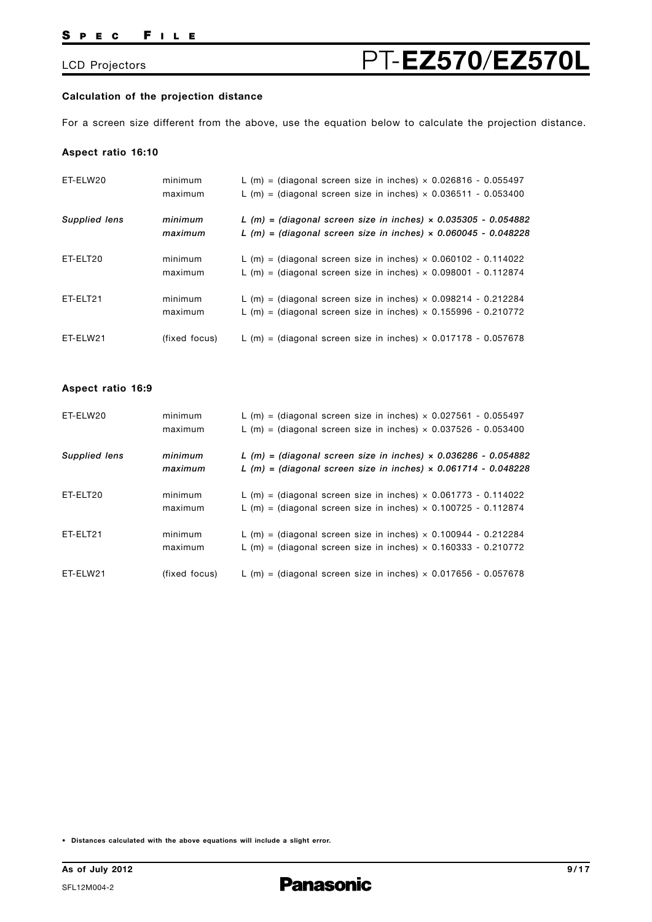#### **Calculation of the projection distance**

For a screen size different from the above, use the equation below to calculate the projection distance.

#### **Aspect ratio 16:10**

| ET-ELW20             | minimum<br>maximum | L (m) = (diagonal screen size in inches) $\times$ 0.026816 - 0.055497<br>L (m) = (diagonal screen size in inches) $\times$ 0.036511 - 0.053400     |
|----------------------|--------------------|----------------------------------------------------------------------------------------------------------------------------------------------------|
| <b>Supplied lens</b> | minimum<br>maximum | L $(m)$ = (diagonal screen size in inches) $\times$ 0.035305 - 0.054882<br>L $(m)$ = (diagonal screen size in inches) $\times$ 0.060045 - 0.048228 |
| ET-ELT20             | minimum<br>maximum | L (m) = (diagonal screen size in inches) $\times$ 0.060102 - 0.114022<br>L (m) = (diagonal screen size in inches) $\times$ 0.098001 - 0.112874     |
| ET-ELT21             | minimum<br>maximum | L (m) = (diagonal screen size in inches) $\times$ 0.098214 - 0.212284<br>L (m) = (diagonal screen size in inches) $\times$ 0.155996 - 0.210772     |
| ET-ELW21             | (fixed focus)      | L (m) = (diagonal screen size in inches) $\times$ 0.017178 - 0.057678                                                                              |

#### **Aspect ratio 16:9**

| ET-ELW20             | minimum<br>maximum | L (m) = (diagonal screen size in inches) $\times$ 0.027561 - 0.055497<br>L (m) = (diagonal screen size in inches) $\times$ 0.037526 - 0.053400   |
|----------------------|--------------------|--------------------------------------------------------------------------------------------------------------------------------------------------|
| <b>Supplied lens</b> | minimum<br>maximum | L (m) = (diagonal screen size in inches) $\times$ 0.036286 - 0.054882<br>L $(m)$ = (diagonal screen size in inches) $\times$ 0.061714 - 0.048228 |
| ET-ELT20             | minimum<br>maximum | L (m) = (diagonal screen size in inches) $\times$ 0.061773 - 0.114022<br>L (m) = (diagonal screen size in inches) $\times$ 0.100725 - 0.112874   |
| ET-ELT21             | minimum<br>maximum | L (m) = (diagonal screen size in inches) $\times$ 0.100944 - 0.212284<br>L (m) = (diagonal screen size in inches) $\times$ 0.160333 - 0.210772   |
| ET-ELW21             | (fixed focus)      | L (m) = (diagonal screen size in inches) $\times$ 0.017656 - 0.057678                                                                            |

**• Distances calculated with the above equations will include a slight error.**

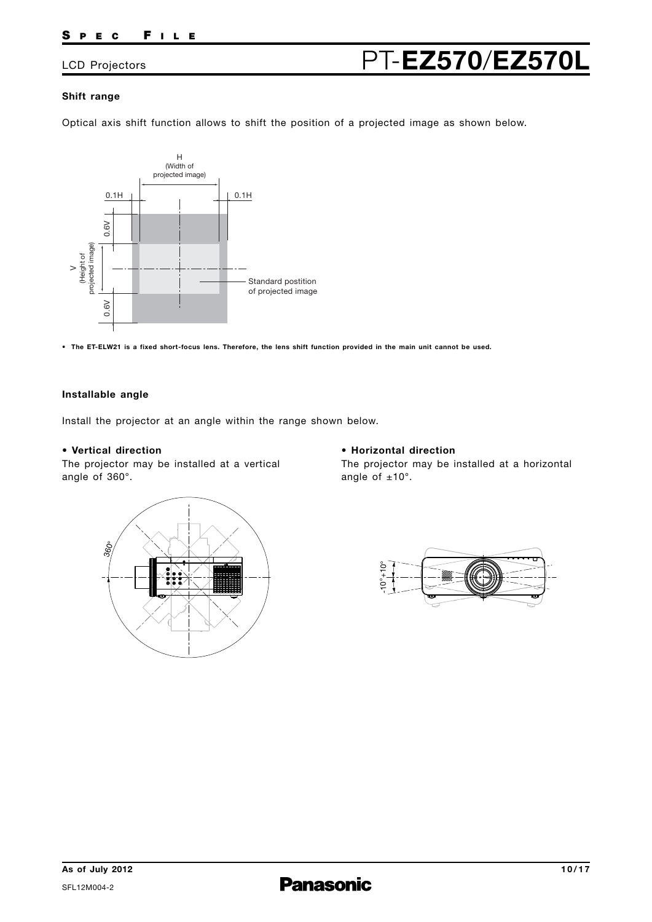## LCD Projectors PT-**EZ570**/**EZ570L**

### **Shift range**

Optical axis shift function allows to shift the position of a projected image as shown below.



**• The ET-ELW21 is a fixed short-focus lens. Therefore, the lens shift function provided in the main unit cannot be used.**

#### **Installable angle**

Install the projector at an angle within the range shown below.

#### **• Vertical direction**

The projector may be installed at a vertical angle of 360°.

### **• Horizontal direction**

The projector may be installed at a horizontal angle of  $±10^\circ$ .



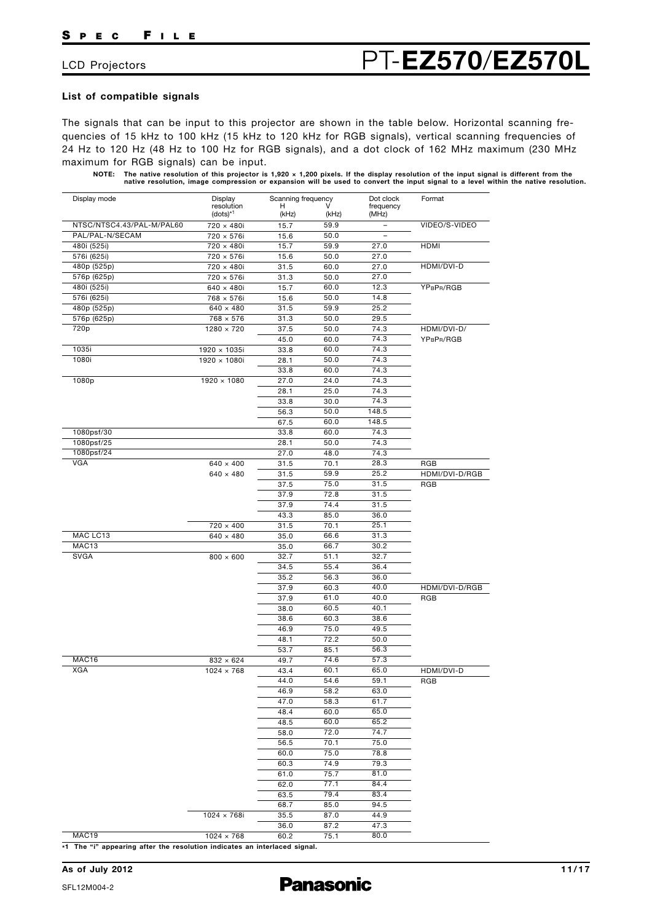#### **List of compatible signals**

The signals that can be input to this projector are shown in the table below. Horizontal scanning frequencies of 15 kHz to 100 kHz (15 kHz to 120 kHz for RGB signals), vertical scanning frequencies of 24 Hz to 120 Hz (48 Hz to 100 Hz for RGB signals), and a dot clock of 162 MHz maximum (230 MHz maximum for RGB signals) can be input.

NOTE: The native resolution of this projector is 1,920 × 1,200 pixels. If the display resolution of the input signal is different from the<br>native resolution, image compression or expansion will be used to convert the input

| Display mode              | Display                     | Scanning frequency |              | Dot clock                | Format         |
|---------------------------|-----------------------------|--------------------|--------------|--------------------------|----------------|
|                           | resolution<br>$(dots)^{*1}$ | н<br>(kHz)         | v<br>(kHz)   | frequency<br>(MHz)       |                |
| NTSC/NTSC4.43/PAL-M/PAL60 | 720 × 480i                  | 15.7               | 59.9         | $\overline{\phantom{0}}$ | VIDEO/S-VIDEO  |
| PAL/PAL-N/SECAM           | 720 × 576i                  | 15.6               | 50.0         | $\overline{\phantom{0}}$ |                |
| 480i (525i)               | 720 × 480i                  | 15.7               | 59.9         | 27.0                     | <b>HDMI</b>    |
| 576i (625i)               | 720 × 576i                  | 15.6               | 50.0         | 27.0                     |                |
| 480p (525p)               | 720 × 480i                  | 31.5               | 60.0         | 27.0                     | HDMI/DVI-D     |
| 576p (625p)               | 720 × 576i                  | 31.3               | 50.0         | 27.0                     |                |
| 480i (525i)               | $640 \times 480i$           | 15.7               | 60.0         | 12.3                     | YPBPR/RGB      |
| 576i (625i)               | 768 × 576i                  | 15.6               | 50.0         | 14.8                     |                |
| 480p (525p)               | $640 \times 480$            | 31.5               | 59.9         | 25.2                     |                |
| 576p (625p)               | $768 \times 576$            | 31.3               | 50.0         | 29.5                     |                |
| 720p                      | $1280 \times 720$           | 37.5               | 50.0         | 74.3                     | HDMI/DVI-D/    |
|                           |                             | 45.0               | 60.0         | 74.3                     | YPBPR/RGB      |
| 1035i                     | 1920 × 1035i                | 33.8               | 60.0         | 74.3                     |                |
| 1080i                     | $1920 \times 1080i$         | 28.1               | 50.0         | 74.3                     |                |
|                           |                             | 33.8               | 60.0         | 74.3                     |                |
| 1080p                     | $1920 \times 1080$          |                    |              | 74.3                     |                |
|                           |                             | 27.0<br>28.1       | 24.0<br>25.0 | 74.3                     |                |
|                           |                             |                    |              |                          |                |
|                           |                             | 33.8               | 30.0         | 74.3                     |                |
|                           |                             | 56.3               | 50.0         | 148.5                    |                |
|                           |                             | 67.5               | 60.0         | 148.5                    |                |
| 1080psf/30                |                             | 33.8               | 60.0         | 74.3                     |                |
| 1080psf/25                |                             | 28.1               | 50.0         | 74.3                     |                |
| 1080psf/24                |                             | 27.0               | 48.0         | 74.3                     |                |
| <b>VGA</b>                | $640 \times 400$            | 31.5               | 70.1         | 28.3                     | RGB            |
|                           | $640 \times 480$            | 31.5               | 59.9         | 25.2                     | HDMI/DVI-D/RGB |
|                           |                             | 37.5               | 75.0         | 31.5                     | RGB            |
|                           |                             | 37.9               | 72.8         | 31.5                     |                |
|                           |                             | 37.9               | 74.4         | 31.5                     |                |
|                           |                             | 43.3               | 85.0         | 36.0                     |                |
|                           | $720 \times 400$            | 31.5               | 70.1         | 25.1                     |                |
| MAC LC13                  | $640 \times 480$            | 35.0               | 66.6         | 31.3                     |                |
| MAC13                     |                             | 35.0               | 66.7         | 30.2                     |                |
| <b>SVGA</b>               | $800 \times 600$            | 32.7               | 51.1         | 32.7                     |                |
|                           |                             | 34.5               | 55.4         | 36.4                     |                |
|                           |                             | 35.2               | 56.3         | 36.0                     |                |
|                           |                             | 37.9               | 60.3         | 40.0                     | HDMI/DVI-D/RGB |
|                           |                             | 37.9               | 61.0         | 40.0                     | RGB            |
|                           |                             | 38.0               | 60.5         | 40.1                     |                |
|                           |                             | 38.6               | 60.3         | 38.6                     |                |
|                           |                             | 46.9               | 75.0         | 49.5                     |                |
|                           |                             | 48.1               | 72.2         | 50.0                     |                |
|                           |                             | 53.7               | 85.1         | 56.3                     |                |
| MAC16                     | $832 \times 624$            | 49.7               | 74.6         | 57.3                     |                |
| <b>XGA</b>                |                             |                    | 60.1         | 65.0                     |                |
|                           | $1024 \times 768$           | 43.4               |              | 59.1                     | HDMI/DVI-D     |
|                           |                             | 44.0               | 54.6         | 63.0                     | RGB            |
|                           |                             | 46.9               | 58.2         |                          |                |
|                           |                             | 47.0               | 58.3         | 61.7                     |                |
|                           |                             | 48.4               | 60.0         | 65.0                     |                |
|                           |                             | 48.5               | 60.0         | 65.2                     |                |
|                           |                             | 58.0               | 72.0         | 74.7                     |                |
|                           |                             | 56.5               | 70.1         | 75.0                     |                |
|                           |                             | 60.0               | 75.0         | 78.8                     |                |
|                           |                             | 60.3               | 74.9         | 79.3                     |                |
|                           |                             | 61.0               | 75.7         | 81.0                     |                |
|                           |                             | 62.0               | 77.1         | 84.4                     |                |
|                           |                             | 63.5               | 79.4         | 83.4                     |                |
|                           |                             | 68.7               | 85.0         | 94.5                     |                |
|                           | $1024 \times 768i$          | 35.5               | 87.0         | 44.9                     |                |
|                           |                             | 36.0               | 87.2         | 47.3                     |                |
|                           |                             |                    |              |                          |                |

**\*1 The "i" appearing after the resolution indicates an interlaced signal.**

SFL12M004-2

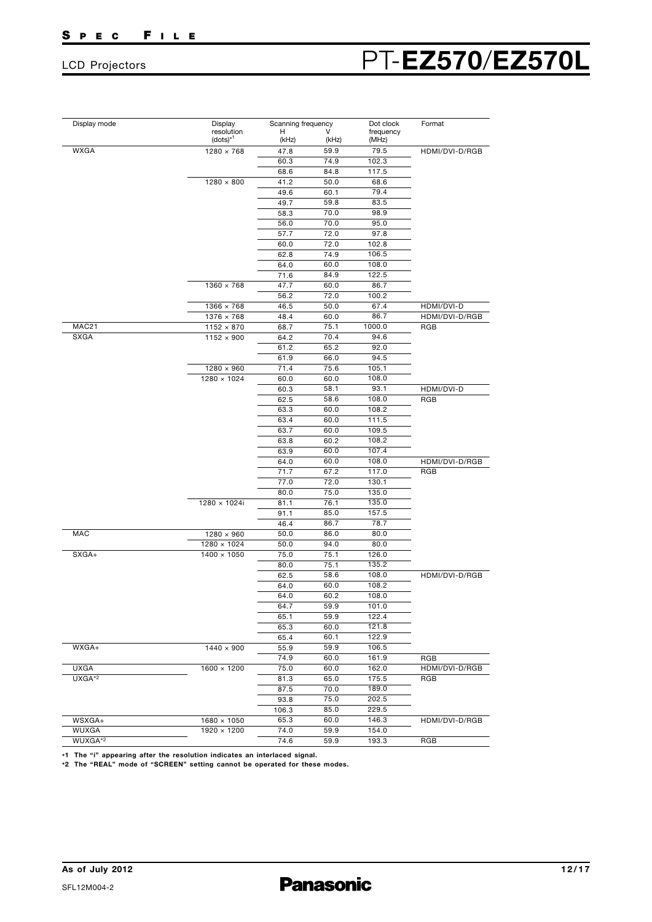## LCD Projectors PT-**EZ570**/**EZ570L**

| Display mode | Display                                | Scanning frequency |            | Dot clock          | Format         |  |
|--------------|----------------------------------------|--------------------|------------|--------------------|----------------|--|
|              | resolution<br>$(dots)^{*1}$            | н<br>(kHz)         | v<br>(kHz) | frequency<br>(MHz) |                |  |
| WXGA         | $1280 \times 768$                      | 47.8               | 59.9       | 79.5               | HDMI/DVI-D/RGB |  |
|              |                                        | 60.3               | 74.9       | 102.3              |                |  |
|              |                                        | 68.6               | 84.8       | 117.5              |                |  |
|              | $1280 \times 800$                      | 41.2               | 50.0       | 68.6               |                |  |
|              |                                        | 49.6               | 60.1       | 79.4               |                |  |
|              |                                        | 49.7               | 59.8       | 83.5               |                |  |
|              |                                        | 58.3               | 70.0       | 98.9               |                |  |
|              |                                        | 56.0               | 70.0       | 95.0               |                |  |
|              |                                        | 57.7               | 72.0       | 97.8               |                |  |
|              |                                        | 60.0               | 72.0       | 102.8              |                |  |
|              |                                        | 62.8               | 74.9       | 106.5              |                |  |
|              |                                        | 64.0               | 60.0       | 108.0              |                |  |
|              |                                        | 71.6               | 84.9       | 122.5              |                |  |
|              | $1360 \times 768$                      | 47.7               | 60.0       | 86.7               |                |  |
|              |                                        | 56.2               | 72.0       | 100.2              |                |  |
|              | $1366 \times 768$                      | 46.5               | 50.0       | 67.4               | HDMI/DVI-D     |  |
|              |                                        |                    | 60.0       | 86.7               | HDMI/DVI-D/RGB |  |
| MAC21        | $1376 \times 768$                      | 48.4<br>68.7       | 75.1       | 1000.0             | RGB            |  |
| <b>SXGA</b>  | $1152 \times 870$<br>$1152 \times 900$ |                    |            | 94.6               |                |  |
|              |                                        | 64.2               | 70.4       |                    |                |  |
|              |                                        | 61.2               | 65.2       | 92.0               |                |  |
|              |                                        | 61.9               | 66.0       | 94.5               |                |  |
|              | $1280 \times 960$                      | 71.4               | 75.6       | 105.1              |                |  |
|              | $1280 \times 1024$                     | 60.0               | 60.0       | 108.0              |                |  |
|              |                                        | 60.3               | 58.1       | 93.1               | HDMI/DVI-D     |  |
|              |                                        | 62.5               | 58.6       | 108.0              | <b>RGB</b>     |  |
|              |                                        | 63.3               | 60.0       | 108.2              |                |  |
|              |                                        | 63.4               | 60.0       | 111.5              |                |  |
|              |                                        | 63.7               | 60.0       | 109.5              |                |  |
|              |                                        | 63.8               | 60.2       | 108.2              |                |  |
|              |                                        | 63.9               | 60.0       | 107.4              |                |  |
|              |                                        | 64.0               | 60.0       | 108.0              | HDMI/DVI-D/RGB |  |
|              |                                        | 71.7               | 67.2       | 117.0              | RGB            |  |
|              |                                        | 77.0               | 72.0       | 130.1              |                |  |
|              |                                        | 80.0               | 75.0       | 135.0              |                |  |
|              | 1280 × 1024i                           | 81.1               | 76.1       | 135.0              |                |  |
|              |                                        | 91.1               | 85.0       | 157.5              |                |  |
|              |                                        | 46.4               | 86.7       | 78.7               |                |  |
| <b>MAC</b>   | $1280 \times 960$                      | 50.0               | 86.0       | 80.0               |                |  |
|              | $1280 \times 1024$                     | 50.0               | 94.0       | 80.0               |                |  |
| SXGA+        | $1400 \times 1050$                     | 75.0               | 75.1       | 126.0              |                |  |
|              |                                        | 80.0               | 75.1       | 135.2              |                |  |
|              |                                        | 62.5               | 58.6       | 108.0              | HDMI/DVI-D/RGB |  |
|              |                                        | 64.0               | 60.0       | 108.2              |                |  |
|              |                                        | 64.0               | 60.2       | 108.0              |                |  |
|              |                                        | 64.7               | 59.9       | 101.0              |                |  |
|              |                                        | 65.1               | 59.9       | 122.4              |                |  |
|              |                                        | 65.3               | 60.0       | 121.8              |                |  |
|              |                                        | 65.4               | 60.1       | 122.9              |                |  |
| WXGA+        | $1440 \times 900$                      | 55.9               | 59.9       | 106.5              |                |  |
|              |                                        | 74.9               | 60.0       | 161.9              | RGB            |  |
| <b>UXGA</b>  | $1600 \times 1200$                     | 75.0               | 60.0       | 162.0              | HDMI/DVI-D/RGB |  |
| UXGA*2       |                                        |                    | 65.0       | 175.5              |                |  |
|              |                                        | 81.3               |            | 189.0              | RGB            |  |
|              |                                        | 87.5               | 70.0       |                    |                |  |
|              |                                        | 93.8               | 75.0       | 202.5              |                |  |
|              |                                        | 106.3              | 85.0       | 229.5              |                |  |
| WSXGA+       | $1680 \times 1050$                     | 65.3               | 60.0       | 146.3              | HDMI/DVI-D/RGB |  |
| WUXGA        | $1920 \times 1200$                     | 74.0               | 59.9       | 154.0              |                |  |
| WUXGA*2      |                                        | 74.6               | 59.9       | 193.3              | RGB            |  |

**\*1 The "i" appearing after the resolution indicates an interlaced signal. \*2 The "REAL" mode of "SCREEN" setting cannot be operated for these modes.**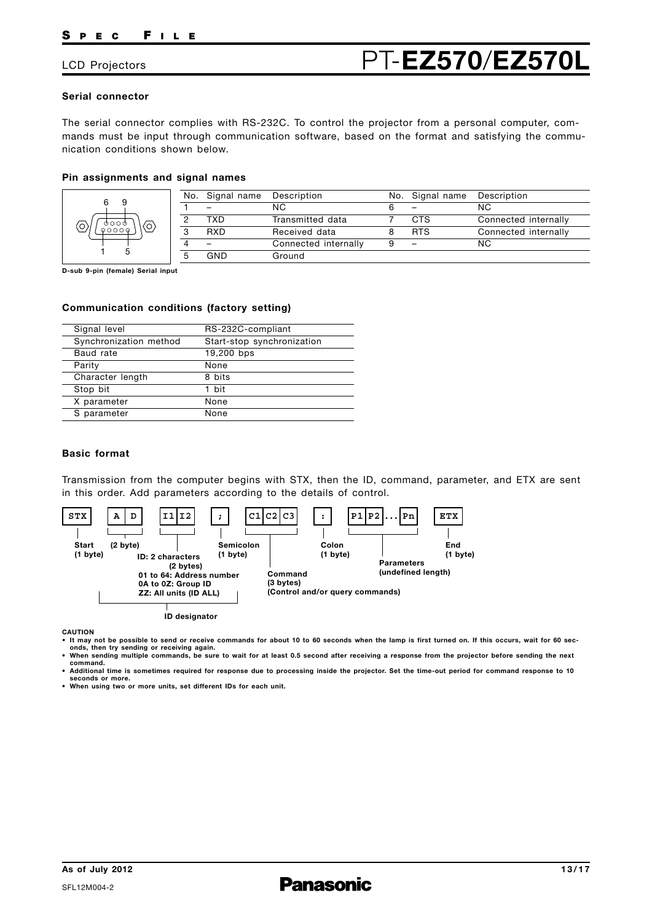## LCD Projectors **PT-EZ570/EZ570**

#### **Serial connector**

The serial connector complies with RS-232C. To control the projector from a personal computer, commands must be input through communication software, based on the format and satisfying the communication conditions shown below.

#### **Pin assignments and signal names**

| 6<br>q  |   | No. Signal name | Description          |   | No. Signal name          | Description          |
|---------|---|-----------------|----------------------|---|--------------------------|----------------------|
|         |   |                 | N <sub>C</sub>       |   | $\overline{\phantom{0}}$ | NС                   |
| 7 റ റ ര |   | TXD             | Transmitted data     |   | <b>CTS</b>               | Connected internally |
|         | 3 | <b>RXD</b>      | Received data        |   | <b>RTS</b>               | Connected internally |
|         |   |                 | Connected internally | 9 | $\overline{\phantom{m}}$ | NC.                  |
|         |   | GND             | Ground               |   |                          |                      |

**D-sub 9-pin (female) Serial input**

#### **Communication conditions (factory setting)**

| Signal level           | RS-232C-compliant          |
|------------------------|----------------------------|
| Synchronization method | Start-stop synchronization |
| Baud rate              | 19,200 bps                 |
| Parity                 | None                       |
| Character length       | 8 bits                     |
| Stop bit               | 1 bit                      |
| X parameter            | None                       |
| S parameter            | None                       |

### **Basic format**

Transmission from the computer begins with STX, then the ID, command, parameter, and ETX are sent in this order. Add parameters according to the details of control.



**CAUTION**

- **It may not be possible to send or receive commands for about 10 to 60 seconds when the lamp is first turned on. If this occurs, wait for 60 seconds, then try sending or receiving again. • When sending multiple commands, be sure to wait for at least 0.5 second after receiving a response from the projector before sending the next**
- **command.**
- **Additional time is sometimes required for response due to processing inside the projector. Set the time-out period for command response to 10 seconds or more.**

**• When using two or more units, set different IDs for each unit.**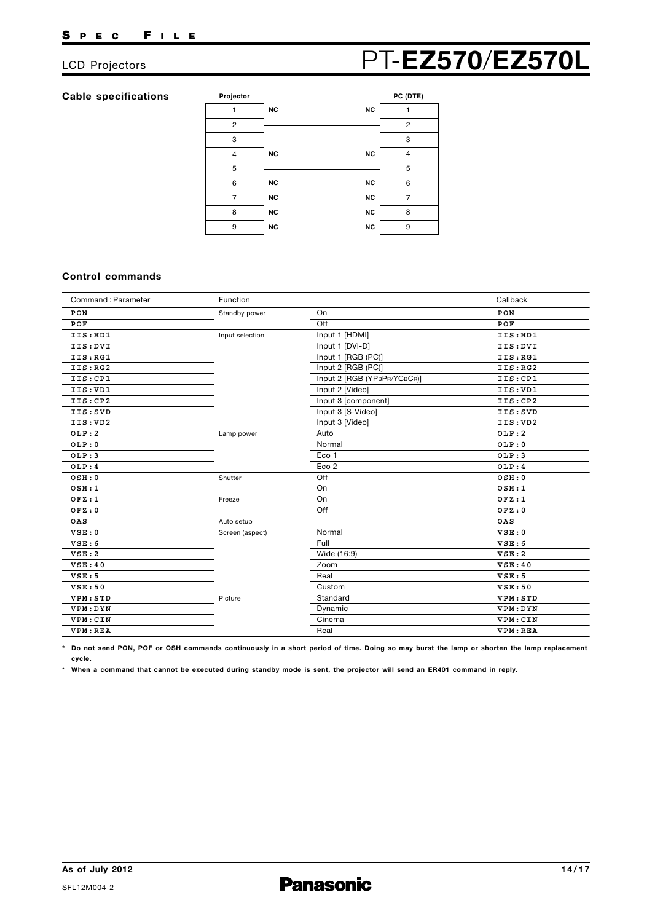## LCD Projectors **PT-EZ570/EZ570L**

#### **Cable specifications**

**Projector PC (DTE)**  $N$ <sup>C</sup> 7 1

|             | $-1 - 1$                                                                         |
|-------------|----------------------------------------------------------------------------------|
| <b>NC</b>   |                                                                                  |
|             | $\overline{2}$                                                                   |
|             | 3                                                                                |
| <b>NC</b>   | $\overline{\mathbf{4}}$                                                          |
|             | 5                                                                                |
| <b>NC</b>   | 6                                                                                |
| <b>NC</b>   | 7                                                                                |
| NC          | 8                                                                                |
| $_{\rm NC}$ | 9                                                                                |
|             | <b>NC</b><br><b>NC</b><br>$_{\rm NC}$<br>$_{\rm NC}$<br>$_{\rm NC}$<br><b>NC</b> |

#### **Control commands**

| Command: Parameter | Function        |                             | Callback |
|--------------------|-----------------|-----------------------------|----------|
| PON                | Standby power   | On                          | PON      |
| POF                |                 | Off                         | POF      |
| IIS:HD1            | Input selection | Input 1 [HDMI]              | IIS:HD1  |
| IIS: DVI           |                 | Input 1 [DVI-D]             | IIS:DVI  |
| IIS:RG1            |                 | Input 1 [RGB (PC)]          | IIS:RG1  |
| IIS:RG2            |                 | Input 2 [RGB (PC)]          | IIS:RG2  |
| IIS:CP1            |                 | Input 2 [RGB (YPBPR/YCBCR)] | IIS:CP1  |
| IIS: VD1           |                 | Input 2 [Video]             | IIS: VD1 |
| IIS:CP2            |                 | Input 3 [component]         | IIS:CP2  |
| IIS:SVD            |                 | Input 3 [S-Video]           | IIS:SVD  |
| IIS: VD2           |                 | Input 3 [Video]             | IIS: VD2 |
| OLP:2              | Lamp power      | Auto                        | OLP:2    |
| OLP:0              |                 | Normal                      | OLP:0    |
| OLP:3              |                 | Eco 1                       | OLP:3    |
| OLP:4              |                 | Eco <sub>2</sub>            | OLP:4    |
| OSH:0              | Shutter         | Off                         | OSH:0    |
| OSH:1              |                 | On                          | OSH:1    |
| OFZ:1              | Freeze          | On                          | OFZ:1    |
| OFZ:0              |                 | Off                         | OFZ:0    |
| OAS                | Auto setup      |                             | OAS      |
| VSE:0              | Screen (aspect) | Normal                      | VSE:0    |
| VSE:6              |                 | Full                        | VSE:6    |
| VSE:2              |                 | Wide (16:9)                 | VSE:2    |
| VSE:40             |                 | Zoom                        | VSE:40   |
| VSE:5              |                 | Real                        | VSE:5    |
| VSE:50             |                 | Custom                      | VSE:50   |
| VPM: STD           | Picture         | Standard                    | VPM: STD |
| VPM: DYN           |                 | Dynamic                     | VPM: DYN |
| VPM: CIN           |                 | Cinema                      | VPM: CIN |
| VPM: REA           |                 | Real                        | VPM: REA |

**\* Do not send PON, POF or OSH commands continuously in a short period of time. Doing so may burst the lamp or shorten the lamp replacement cycle.**

**\* When a command that cannot be executed during standby mode is sent, the projector will send an ER401 command in reply.**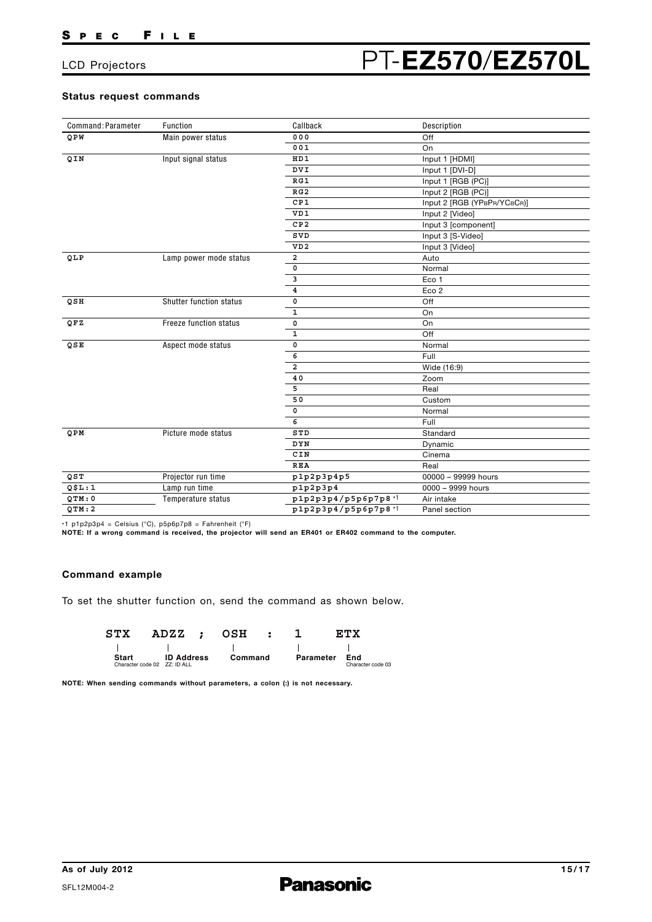#### **Status request commands**

| Command: Parameter | Function                       | Callback                          | Description                 |  |
|--------------------|--------------------------------|-----------------------------------|-----------------------------|--|
| QPW                | Main power status              | 000                               | Off                         |  |
|                    |                                | 001                               | On                          |  |
| QIN                | Input signal status            | HD1                               | Input 1 [HDMI]              |  |
|                    |                                | <b>DVI</b>                        | Input 1 [DVI-D]             |  |
|                    |                                | RG1                               | Input 1 [RGB (PC)]          |  |
|                    |                                | RG2                               | Input 2 [RGB (PC)]          |  |
|                    |                                | CP1                               | Input 2 [RGB (YPBPR/YCBCR)] |  |
|                    |                                | VD1                               | Input 2 [Video]             |  |
|                    |                                | CP2                               | Input 3 [component]         |  |
|                    |                                | SVD                               | Input 3 [S-Video]           |  |
|                    |                                | VD2                               | Input 3 [Video]             |  |
| QLP                | Lamp power mode status         | 2                                 | Auto                        |  |
|                    |                                | 0                                 | Normal                      |  |
|                    |                                | 3                                 | Eco 1                       |  |
|                    |                                | $\overline{\mathbf{4}}$           | Eco <sub>2</sub>            |  |
| QSII               | <b>Shutter function status</b> | 0                                 | Off                         |  |
|                    |                                | 1                                 | On                          |  |
| QFZ                | Freeze function status         | 0                                 | On                          |  |
|                    |                                | $\mathbf 1$                       | Off                         |  |
| QSE                | Aspect mode status             | 0                                 | Normal                      |  |
|                    |                                | 6                                 | Full                        |  |
|                    |                                | 2                                 | Wide (16:9)                 |  |
|                    |                                | 40                                | Zoom                        |  |
|                    |                                | 5                                 | Real                        |  |
|                    |                                | 50                                | Custom                      |  |
|                    |                                | $\mathsf{o}\,$                    | Normal                      |  |
|                    |                                | 6                                 | Full                        |  |
| QPM                | Picture mode status            | STD                               | Standard                    |  |
|                    |                                | DYN                               | Dynamic                     |  |
|                    |                                | CIN                               | Cinema                      |  |
|                    |                                | <b>REA</b>                        | Real                        |  |
| QST                | Projector run time             | p1p2p3p4p5                        | 00000 - 99999 hours         |  |
| QSL:1              | Lamp run time                  | p1p2p3p4                          | 0000 - 9999 hours           |  |
| QTM: 0             | Temperature status             | p1p2p3p4/p5p6p7p8*1<br>Air intake |                             |  |
| QTM:2              |                                | p1p2p3p4/p5p6p7p8*1               | Panel section               |  |

\*1 p1p2p3p4 = Celsius (°C), p5p6p7p8 = Fahrenheit (°F) **NOTE: If a wrong command is received, the projector will send an ER401 or ER402 command to the computer.**

#### **Command example**

To set the shutter function on, send the command as shown below.

| STX          | ADZZ ;                       | OSH     |           | RTX               |
|--------------|------------------------------|---------|-----------|-------------------|
|              |                              |         |           |                   |
| <b>Start</b> | <b>ID Address</b>            | Command | Parameter | End               |
|              | Character code 02 ZZ: ID ALL |         |           | Character code 03 |

**NOTE: When sending commands without parameters, a colon (:) is not necessary.**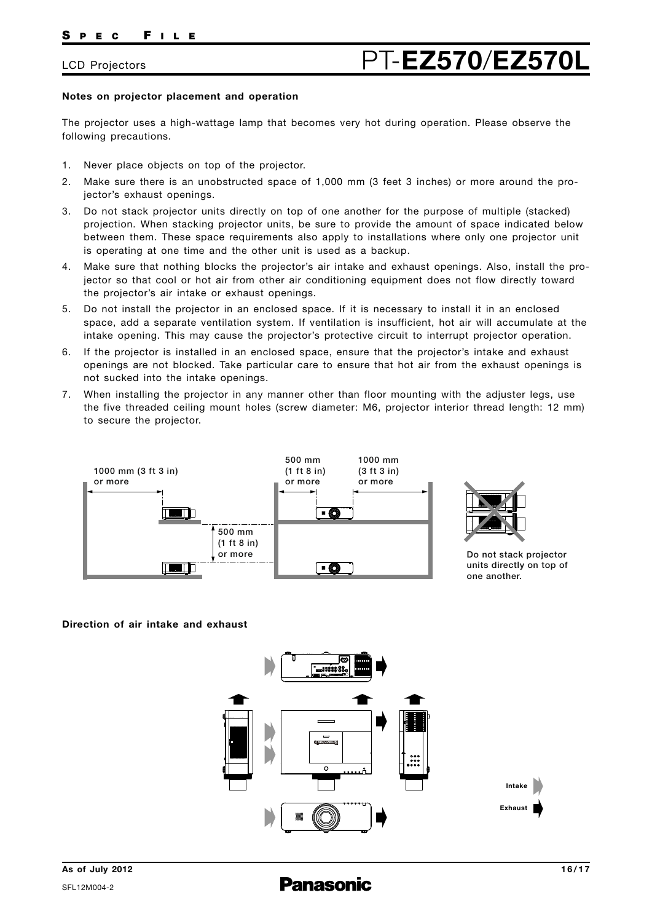#### **Notes on projector placement and operation**

The projector uses a high-wattage lamp that becomes very hot during operation. Please observe the following precautions.

- 1. Never place objects on top of the projector.
- 2. Make sure there is an unobstructed space of 1,000 mm (3 feet 3 inches) or more around the projector's exhaust openings.
- 3. Do not stack projector units directly on top of one another for the purpose of multiple (stacked) projection. When stacking projector units, be sure to provide the amount of space indicated below between them. These space requirements also apply to installations where only one projector unit is operating at one time and the other unit is used as a backup.
- 4. Make sure that nothing blocks the projector's air intake and exhaust openings. Also, install the projector so that cool or hot air from other air conditioning equipment does not flow directly toward the projector's air intake or exhaust openings.
- 5. Do not install the projector in an enclosed space. If it is necessary to install it in an enclosed space, add a separate ventilation system. If ventilation is insufficient, hot air will accumulate at the intake opening. This may cause the projector's protective circuit to interrupt projector operation.
- 6. If the projector is installed in an enclosed space, ensure that the projector's intake and exhaust openings are not blocked. Take particular care to ensure that hot air from the exhaust openings is not sucked into the intake openings.
- 7. When installing the projector in any manner other than floor mounting with the adjuster legs, use the five threaded ceiling mount holes (screw diameter: M6, projector interior thread length: 12 mm) to secure the projector.





**Do not stack projector units directly on top of one another.**

#### **Direction of air intake and exhaust**